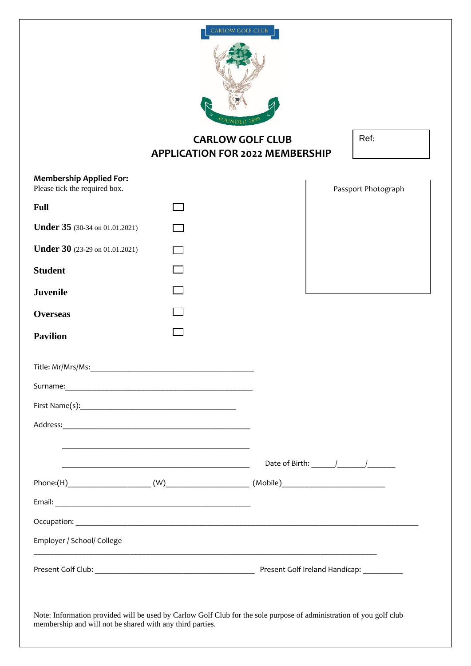

# **CARLOW GOLF CLUB APPLICATION FOR 2022 MEMBERSHIP**

| I<br>×<br>o m |
|---------------|
|---------------|

| <b>Membership Applied For:</b>        |  |  |                                |  |
|---------------------------------------|--|--|--------------------------------|--|
| Please tick the required box.         |  |  | Passport Photograph            |  |
| <b>Full</b>                           |  |  |                                |  |
| <b>Under 35</b> (30-34 on 01.01.2021) |  |  |                                |  |
| Under 30 (23-29 on 01.01.2021)        |  |  |                                |  |
| <b>Student</b>                        |  |  |                                |  |
| <b>Juvenile</b>                       |  |  |                                |  |
| <b>Overseas</b>                       |  |  |                                |  |
| <b>Pavilion</b>                       |  |  |                                |  |
|                                       |  |  |                                |  |
|                                       |  |  |                                |  |
|                                       |  |  |                                |  |
|                                       |  |  |                                |  |
|                                       |  |  |                                |  |
|                                       |  |  |                                |  |
|                                       |  |  |                                |  |
|                                       |  |  |                                |  |
| Occupation:                           |  |  |                                |  |
| Employer / School/ College            |  |  |                                |  |
|                                       |  |  | Present Golf Ireland Handicap: |  |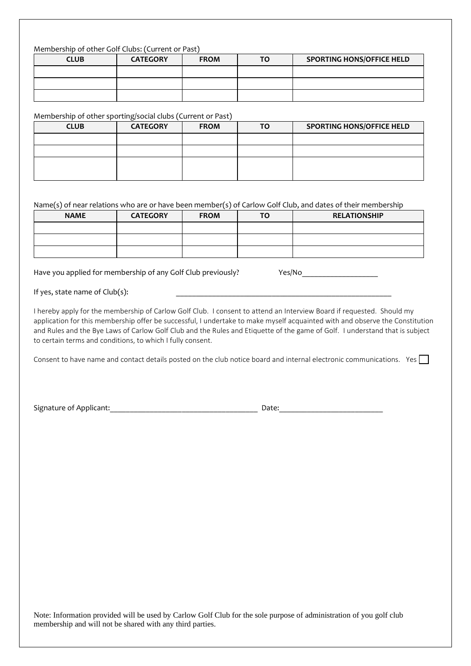### Membership of other Golf Clubs: (Current or Past)

| <b>CLUB</b> | <b>CATEGORY</b> | <b>FROM</b> | <b>TO</b> | <b>SPORTING HONS/OFFICE HELD</b> |
|-------------|-----------------|-------------|-----------|----------------------------------|
|             |                 |             |           |                                  |
|             |                 |             |           |                                  |
|             |                 |             |           |                                  |

Membership of other sporting/social clubs (Current or Past)

| <b>CLUB</b> | <b>CATEGORY</b> | <b>FROM</b> | ΤO | <b>SPORTING HONS/OFFICE HELD</b> |
|-------------|-----------------|-------------|----|----------------------------------|
|             |                 |             |    |                                  |
|             |                 |             |    |                                  |
|             |                 |             |    |                                  |
|             |                 |             |    |                                  |

#### Name(s) of near relations who are or have been member(s) of Carlow Golf Club, and dates of their membership

| <b>NAME</b> | <b>CATEGORY</b> | <b>FROM</b> | <b>TO</b> | <b>RELATIONSHIP</b> |
|-------------|-----------------|-------------|-----------|---------------------|
|             |                 |             |           |                     |
|             |                 |             |           |                     |
|             |                 |             |           |                     |

Have you applied for membership of any Golf Club previously? Yes/No\_\_\_\_\_\_\_\_\_\_\_\_\_\_

If yes, state name of  $Club(s)$ :

I hereby apply for the membership of Carlow Golf Club. I consent to attend an Interview Board if requested. Should my application for this membership offer be successful, I undertake to make myself acquainted with and observe the Constitution and Rules and the Bye Laws of Carlow Golf Club and the Rules and Etiquette of the game of Golf. I understand that is subject to certain terms and conditions, to which I fully consent.

Consent to have name and contact details posted on the club notice board and internal electronic communications. Yes

Signature of Applicant:\_\_\_\_\_\_\_\_\_\_\_\_\_\_\_\_\_\_\_\_\_\_\_\_\_\_\_\_\_\_\_\_\_\_\_\_\_ Date:\_\_\_\_\_\_\_\_\_\_\_\_\_\_\_\_\_\_\_\_\_\_\_\_\_\_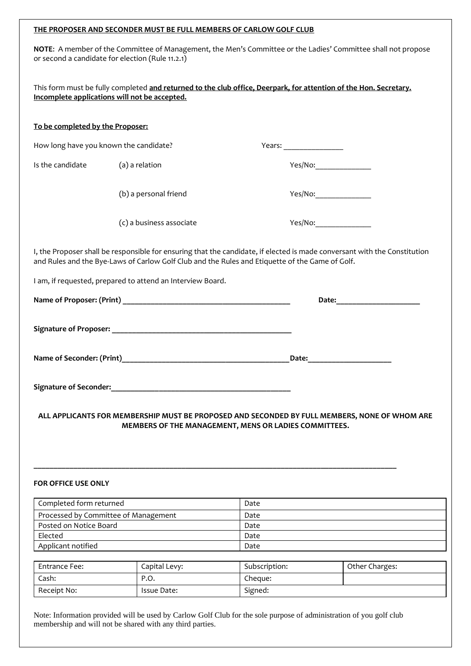#### **THE PROPOSER AND SECONDER MUST BE FULL MEMBERS OF CARLOW GOLF CLUB**

**NOTE**: A member of the Committee of Management, the Men's Committee or the Ladies' Committee shall not propose or second a candidate for election (Rule 11.2.1)

| This form must be fully completed and returned to the club office, Deerpark, for attention of the Hon. Secretary. |  |  |  |
|-------------------------------------------------------------------------------------------------------------------|--|--|--|
| Incomplete applications will not be accepted.                                                                     |  |  |  |

#### **To be completed by the Proposer:**

| How long have you known the candidate? |                       | Years: |         |
|----------------------------------------|-----------------------|--------|---------|
| Is the candidate                       | (a) a relation        |        | Yes/No: |
|                                        | (b) a personal friend |        | Yes/No: |

(c) a business associate Yes/No:

I, the Proposer shall be responsible for ensuring that the candidate, if elected is made conversant with the Constitution and Rules and the Bye-Laws of Carlow Golf Club and the Rules and Etiquette of the Game of Golf.

I am, if requested, prepared to attend an Interview Board.

|                               | Date:<br><u> 1989 - Johann Barn, mars et al.</u> |
|-------------------------------|--------------------------------------------------|
|                               |                                                  |
|                               | Date:                                            |
| <b>Signature of Seconder:</b> |                                                  |

## **ALL APPLICANTS FOR MEMBERSHIP MUST BE PROPOSED AND SECONDED BY FULL MEMBERS, NONE OF WHOM ARE MEMBERS OF THE MANAGEMENT, MENS OR LADIES COMMITTEES.**

**\_\_\_\_\_\_\_\_\_\_\_\_\_\_\_\_\_\_\_\_\_\_\_\_\_\_\_\_\_\_\_\_\_\_\_\_\_\_\_\_\_\_\_\_\_\_\_\_\_\_\_\_\_\_\_\_\_\_\_\_\_\_\_\_\_\_\_\_\_\_\_\_\_\_\_\_\_\_\_\_\_\_\_\_\_\_\_\_\_\_\_**

## **FOR OFFICE USE ONLY**

| Completed form returned              | Date |
|--------------------------------------|------|
| Processed by Committee of Management | Date |
| Posted on Notice Board               | Date |
| Elected                              | Date |
| Applicant notified                   | Date |

| Entrance Fee: | Capital Levy: | Subscription: | Other Charges: |
|---------------|---------------|---------------|----------------|
| Cash:         | P.O.          | Chegue:       |                |
| Receipt No:   | Issue Date:   | Signed:       |                |